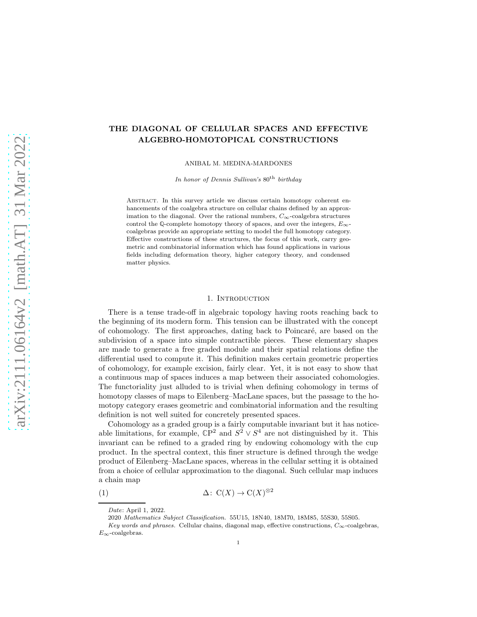# THE DIAGONAL OF CELLULAR SPACES AND EFFECTIVE ALGEBRO-HOMOTOPICAL CONSTRUCTIONS

ANIBAL M. MEDINA-MARDONES

In honor of Dennis Sullivan's  $80<sup>th</sup>$  birthday

Abstract. In this survey article we discuss certain homotopy coherent enhancements of the coalgebra structure on cellular chains defined by an approximation to the diagonal. Over the rational numbers,  $C_{\infty}$ -coalgebra structures control the Q-complete homotopy theory of spaces, and over the integers,  $E_{\infty}$ coalgebras provide an appropriate setting to model the full homotopy category. Effective constructions of these structures, the focus of this work, carry geometric and combinatorial information which has found applications in various fields including deformation theory, higher category theory, and condensed matter physics.

### 1. INTRODUCTION

There is a tense trade-off in algebraic topology having roots reaching back to the beginning of its modern form. This tension can be illustrated with the concept of cohomology. The first approaches, dating back to Poincar´e, are based on the subdivision of a space into simple contractible pieces. These elementary shapes are made to generate a free graded module and their spatial relations define the differential used to compute it. This definition makes certain geometric properties of cohomology, for example excision, fairly clear. Yet, it is not easy to show that a continuous map of spaces induces a map between their associated cohomologies. The functoriality just alluded to is trivial when defining cohomology in terms of homotopy classes of maps to Eilenberg–MacLane spaces, but the passage to the homotopy category erases geometric and combinatorial information and the resulting definition is not well suited for concretely presented spaces.

Cohomology as a graded group is a fairly computable invariant but it has noticeable limitations, for example,  $\mathbb{C}P^2$  and  $S^2 \vee S^4$  are not distinguished by it. This invariant can be refined to a graded ring by endowing cohomology with the cup product. In the spectral context, this finer structure is defined through the wedge product of Eilenberg–MacLane spaces, whereas in the cellular setting it is obtained from a choice of cellular approximation to the diagonal. Such cellular map induces a chain map

(1)  $\Delta: \mathcal{C}(X) \to \mathcal{C}(X)^{\otimes 2}$ 

<span id="page-0-0"></span>Date: April 1, 2022.

<sup>2020</sup> Mathematics Subject Classification. 55U15, 18N40, 18M70, 18M85, 55S30, 55S05.

Key words and phrases. Cellular chains, diagonal map, effective constructions,  $C_{\infty}$ -coalgebras,  $E_{\infty}$ -coalgebras.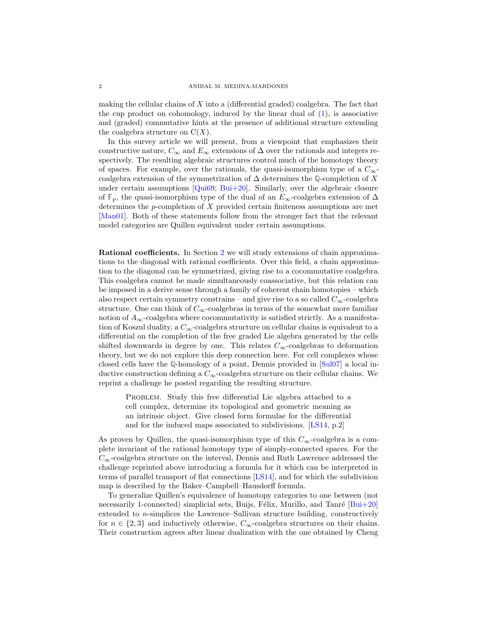<span id="page-1-0"></span>making the cellular chains of  $X$  into a (differential graded) coalgebra. The fact that the cup product on cohomology, induced by the linear dual of  $(1)$ , is associative and (graded) commutative hints at the presence of additional structure extending the coalgebra structure on  $C(X)$ .

In this survey article we will present, from a viewpoint that emphasizes their constructive nature,  $C_{\infty}$  and  $E_{\infty}$  extensions of  $\Delta$  over the rationals and integers respectively. The resulting algebraic structures control much of the homotopy theory of spaces. For example, over the rationals, the quasi-isomorphism type of a  $C_{\infty}$ coalgebra extension of the symmetrization of  $\Delta$  determines the Q-completion of X under certain assumptions  $[Qui69; Bui+20]$  $[Qui69; Bui+20]$ . Similarly, over the algebraic closure of  $\mathbb{F}_p$ , the quasi-isomorphism type of the dual of an  $E_{\infty}$ -coalgebra extension of  $\Delta$ determines the p-completion of X provided certain finiteness assumptions are met [\[Man01](#page-15-0)]. Both of these statements follow from the stronger fact that the relevant model categories are Quillen equivalent under certain assumptions.

Rational coefficients. In Section [2](#page-3-0) we will study extensions of chain approximations to the diagonal with rational coefficients. Over this field, a chain approximation to the diagonal can be symmetrized, giving rise to a cocommutative coalgebra. This coalgebra cannot be made simultaneously coassociative, but this relation can be imposed in a derive sense through a family of coherent chain homotopies – which also respect certain symmetry constrains – and give rise to a so called  $C_{\infty}$ -coalgebra structure. One can think of  $C_{\infty}$ -coalgebras in terms of the somewhat more familiar notion of  $A_{\infty}$ -coalgebra where cocommutativity is satisfied strictly. As a manifestation of Koszul duality, a  $C_{\infty}$ -coalgebra structure on cellular chains is equivalent to a differential on the completion of the free graded Lie algebra generated by the cells shifted downwards in degree by one. This relates  $C_{\infty}$ -coalgebras to deformation theory, but we do not explore this deep connection here. For cell complexes whose closed cells have the **Q**-homology of a point, Dennis provided in [\[Sul07\]](#page-16-1) a local inductive construction defining a  $C_{\infty}$ -coalgebra structure on their cellular chains. We reprint a challenge he posted regarding the resulting structure.

PROBLEM. Study this free differential Lie algebra attached to a cell complex, determine its topological and geometric meaning as an intrinsic object. Give closed form formulae for the differential and for the induced maps associated to subdivisions. [\[LS14](#page-15-1), p.2]

As proven by Quillen, the quasi-isomorphism type of this  $C_{\infty}$ -coalgebra is a complete invariant of the rational homotopy type of simply-connected spaces. For the  $C_{\infty}$ -coalgebra structure on the interval, Dennis and Ruth Lawrence addressed the challenge reprinted above introducing a formula for it which can be interpreted in terms of parallel transport of flat connections [\[LS14\]](#page-15-1), and for which the subdivision map is described by the Baker–Campbell–Hausdorff formula.

To generalize Quillen's equivalence of homotopy categories to one between (not necessarily 1-connected) simplicial sets, Buijs, Félix, Murillo, and Tanré  $[Bui+20]$ extended to n-simplices the Lawrence–Sullivan structure building, constructively for  $n \in \{2,3\}$  and inductively otherwise,  $C_{\infty}$ -coalgebra structures on their chains. Their construction agrees after linear dualization with the one obtained by Cheng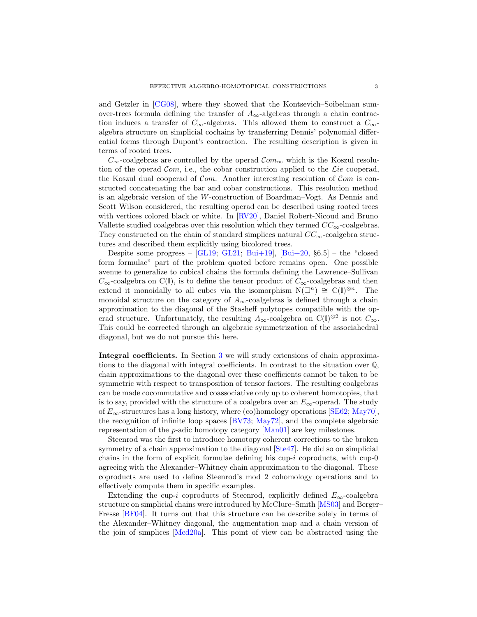<span id="page-2-0"></span>and Getzler in [\[CG08\]](#page-14-1), where they showed that the Kontsevich–Soibelman sumover-trees formula defining the transfer of  $A_{\infty}$ -algebras through a chain contraction induces a transfer of  $C_{\infty}$ -algebras. This allowed them to construct a  $C_{\infty}$ algebra structure on simplicial cochains by transferring Dennis' polynomial differential forms through Dupont's contraction. The resulting description is given in terms of rooted trees.

 $C_{\infty}$ -coalgebras are controlled by the operad  $Com_{\infty}$  which is the Koszul resolution of the operad  $Com$ , i.e., the cobar construction applied to the *Lie* cooperad, the Koszul dual cooperad of  $Com.$  Another interesting resolution of  $Com.$  is constructed concatenating the bar and cobar constructions. This resolution method is an algebraic version of the W-construction of Boardman–Vogt. As Dennis and Scott Wilson considered, the resulting operad can be described using rooted trees with vertices colored black or white. In [\[RV20](#page-16-2)], Daniel Robert-Nicoud and Bruno Vallette studied coalgebras over this resolution which they termed  $CC_{\infty}$ -coalgebras. They constructed on the chain of standard simplices natural  $CC_{\infty}$ -coalgebra structures and described them explicitly using bicolored trees.

Despite some progress –  $[GL19, GL21, Bui+19], [Bui+20, §6.5]$  $[GL19, GL21, Bui+19], [Bui+20, §6.5]$  $[GL19, GL21, Bui+19], [Bui+20, §6.5]$  $[GL19, GL21, Bui+19], [Bui+20, §6.5]$  $[GL19, GL21, Bui+19], [Bui+20, §6.5]$  $[GL19, GL21, Bui+19], [Bui+20, §6.5]$  $[GL19, GL21, Bui+19], [Bui+20, §6.5]$  – the "closed form formulae" part of the problem quoted before remains open. One possible avenue to generalize to cubical chains the formula defining the Lawrence–Sullivan  $C_{\infty}$ -coalgebra on C(**I**), is to define the tensor product of  $C_{\infty}$ -coalgebras and then extend it monoidally to all cubes via the isomorphism  $N(\Box^n) \cong C(\mathbb{I})^{\otimes n}$ . The monoidal structure on the category of  $A_{\infty}$ -coalgebras is defined through a chain approximation to the diagonal of the Stasheff polytopes compatible with the operad structure. Unfortunately, the resulting  $A_{\infty}$ -coalgebra on C( $\mathbb{I}$ )<sup>⊗2</sup> is not  $C_{\infty}$ . This could be corrected through an algebraic symmetrization of the associahedral diagonal, but we do not pursue this here.

Integral coefficients. In Section [3](#page-7-0) we will study extensions of chain approximations to the diagonal with integral coefficients. In contrast to the situation over **Q**, chain approximations to the diagonal over these coefficients cannot be taken to be symmetric with respect to transposition of tensor factors. The resulting coalgebras can be made cocommutative and coassociative only up to coherent homotopies, that is to say, provided with the structure of a coalgebra over an  $E_{\infty}$ -operad. The study of  $E_{\infty}$ -structures has a long history, where (co)homology operations [\[SE62;](#page-16-3) [May70](#page-15-3)], the recognition of infinite loop spaces [\[BV73](#page-14-4); [May72\]](#page-15-4), and the complete algebraic representation of the p-adic homotopy category [\[Man01\]](#page-15-0) are key milestones.

Steenrod was the first to introduce homotopy coherent corrections to the broken symmetry of a chain approximation to the diagonal [\[Ste47\]](#page-16-4). He did so on simplicial chains in the form of explicit formulae defining his cup-i coproducts, with cup-0 agreeing with the Alexander–Whitney chain approximation to the diagonal. These coproducts are used to define Steenrod's mod 2 cohomology operations and to effectively compute them in specific examples.

Extending the cup-i coproducts of Steenrod, explicitly defined  $E_{\infty}$ -coalgebra structure on simplicial chains were introduced by McClure–Smith [\[MS03\]](#page-15-5) and Berger– Fresse [\[BF04](#page-14-5)]. It turns out that this structure can be describe solely in terms of the Alexander–Whitney diagonal, the augmentation map and a chain version of the join of simplices [\[Med20a\]](#page-15-6). This point of view can be abstracted using the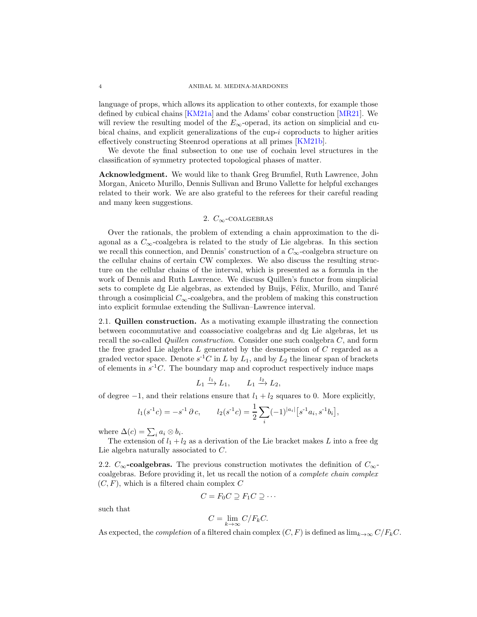<span id="page-3-1"></span>language of props, which allows its application to other contexts, for example those defined by cubical chains [\[KM21a\]](#page-15-7) and the Adams' cobar construction [\[MR21\]](#page-15-8). We will review the resulting model of the  $E_{\infty}$ -operad, its action on simplicial and cubical chains, and explicit generalizations of the cup-i coproducts to higher arities effectively constructing Steenrod operations at all primes [\[KM21b](#page-15-9)].

We devote the final subsection to one use of cochain level structures in the classification of symmetry protected topological phases of matter.

Acknowledgment. We would like to thank Greg Brumfiel, Ruth Lawrence, John Morgan, Aniceto Murillo, Dennis Sullivan and Bruno Vallette for helpful exchanges related to their work. We are also grateful to the referees for their careful reading and many keen suggestions.

# 2.  $C_{\infty}$ -COALGEBRAS

<span id="page-3-0"></span>Over the rationals, the problem of extending a chain approximation to the diagonal as a  $C_{\infty}$ -coalgebra is related to the study of Lie algebras. In this section we recall this connection, and Dennis' construction of a  $C_{\infty}$ -coalgebra structure on the cellular chains of certain CW complexes. We also discuss the resulting structure on the cellular chains of the interval, which is presented as a formula in the work of Dennis and Ruth Lawrence. We discuss Quillen's functor from simplicial sets to complete dg Lie algebras, as extended by Buijs, Félix, Murillo, and Tanré through a cosimplicial  $C_{\infty}$ -coalgebra, and the problem of making this construction into explicit formulae extending the Sullivan–Lawrence interval.

2.1. Quillen construction. As a motivating example illustrating the connection between cocommutative and coassociative coalgebras and dg Lie algebras, let us recall the so-called *Quillen construction*. Consider one such coalgebra C, and form the free graded Lie algebra  $L$  generated by the desuspension of  $C$  regarded as a graded vector space. Denote  $s^{-1}C$  in L by  $L_1$ , and by  $L_2$  the linear span of brackets of elements in  $s^{-1}C$ . The boundary map and coproduct respectively induce maps

$$
L_1 \xrightarrow{l_1} L_1, \qquad L_1 \xrightarrow{l_2} L_2,
$$

of degree  $-1$ , and their relations ensure that  $l_1 + l_2$  squares to 0. More explicitly,

$$
l_1(s^{-1}c) = -s^{-1} \partial c,
$$
  $l_2(s^{-1}c) = \frac{1}{2} \sum_i (-1)^{|a_i|} [s^{-1}a_i, s^{-1}b_i],$ 

where  $\Delta(c) = \sum_i a_i \otimes b_i$ .

The extension of  $l_1 + l_2$  as a derivation of the Lie bracket makes L into a free dg Lie algebra naturally associated to C.

2.2.  $C_{\infty}$ -coalgebras. The previous construction motivates the definition of  $C_{\infty}$ coalgebras. Before providing it, let us recall the notion of a *complete chain complex*  $(C, F)$ , which is a filtered chain complex C

$$
C = F_0 C \supseteq F_1 C \supseteq \cdots
$$

such that

$$
C = \lim_{k \to \infty} C/F_kC.
$$

As expected, the *completion* of a filtered chain complex  $(C, F)$  is defined as  $\lim_{k\to\infty} C/F_kC$ .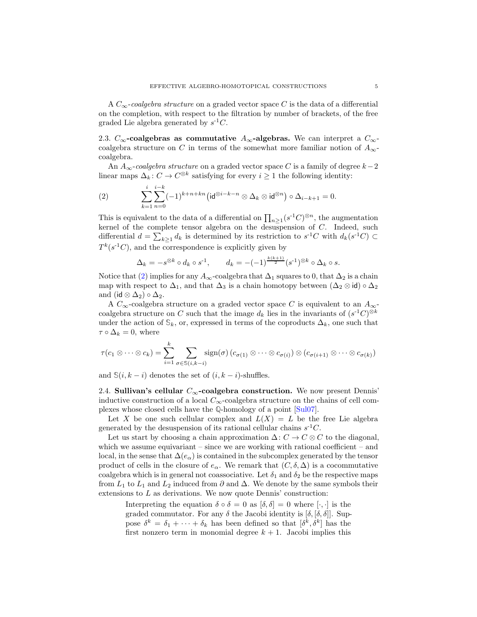<span id="page-4-2"></span>A C∞-*coalgebra structure* on a graded vector space C is the data of a differential on the completion, with respect to the filtration by number of brackets, of the free graded Lie algebra generated by  $s^{-1}C$ .

2.3.  $C_{\infty}$ -coalgebras as commutative  $A_{\infty}$ -algebras. We can interpret a  $C_{\infty}$ coalgebra structure on C in terms of the somewhat more familiar notion of  $A_{\infty}$ coalgebra.

An  $A_{\infty}$ -coalgebra structure on a graded vector space C is a family of degree  $k-2$ linear maps  $\Delta_k: C \to C^{\otimes k}$  satisfying for every  $i \geq 1$  the following identity:

<span id="page-4-0"></span>(2) 
$$
\sum_{k=1}^{i} \sum_{n=0}^{i-k} (-1)^{k+n+kn} (\mathrm{id}^{\otimes i-k-n} \otimes \Delta_k \otimes \mathrm{id}^{\otimes n}) \circ \Delta_{i-k+1} = 0.
$$

This is equivalent to the data of a differential on  $\prod_{n\geq 1} (s^{-1}C)^{\otimes n}$ , the augmentation kernel of the complete tensor algebra on the desuspension of C. Indeed, such differential  $d = \sum_{k\geq 1} d_k$  is determined by its restriction to  $s^{-1}C$  with  $d_k(s^{-1}C) \subset$  $T^k(s^{-1}C)$ , and the correspondence is explicitly given by

$$
\Delta_k = -s^{\otimes k} \circ d_k \circ s^{-1}, \qquad d_k = -(-1)^{\frac{k(k+1)}{2}} (s^{-1})^{\otimes k} \circ \Delta_k \circ s.
$$

Notice that [\(2\)](#page-4-0) implies for any  $A_{\infty}$ -coalgebra that  $\Delta_1$  squares to 0, that  $\Delta_2$  is a chain map with respect to  $\Delta_1$ , and that  $\Delta_3$  is a chain homotopy between  $(\Delta_2 \otimes id) \circ \Delta_2$ and (id  $\otimes \Delta_2$ )  $\circ \Delta_2$ .

A  $C_{\infty}$ -coalgebra structure on a graded vector space C is equivalent to an  $A_{\infty}$ coalgebra structure on C such that the image  $d_k$  lies in the invariants of  $(s^{-1}C)^{\otimes k}$ under the action of  $\mathbb{S}_k$ , or, expressed in terms of the coproducts  $\Delta_k$ , one such that  $\tau \circ \Delta_k = 0$ , where

$$
\tau(c_1 \otimes \cdots \otimes c_k) = \sum_{i=1}^k \sum_{\sigma \in S(i,k-i)} sign(\sigma) (c_{\sigma(1)} \otimes \cdots \otimes c_{\sigma(i)}) \otimes (c_{\sigma(i+1)} \otimes \cdots \otimes c_{\sigma(k)})
$$

<span id="page-4-1"></span>and  $\mathcal{S}(i, k - i)$  denotes the set of  $(i, k - i)$ -shuffles.

2.4. Sullivan's cellular  $C_{\infty}$ -coalgebra construction. We now present Dennis' inductive construction of a local  $C_{\infty}$ -coalgebra structure on the chains of cell complexes whose closed cells have the **Q**-homology of a point [\[Sul07](#page-16-1)].

Let X be one such cellular complex and  $L(X) = L$  be the free Lie algebra generated by the desuspension of its rational cellular chains  $s^{-1}C$ .

Let us start by choosing a chain approximation  $\Delta: C \to C \otimes C$  to the diagonal, which we assume equivariant – since we are working with rational coefficient – and local, in the sense that  $\Delta(e_{\alpha})$  is contained in the subcomplex generated by the tensor product of cells in the closure of  $e_{\alpha}$ . We remark that  $(C, \delta, \Delta)$  is a cocommutative coalgebra which is in general not coassociative. Let  $\delta_1$  and  $\delta_2$  be the respective maps from  $L_1$  to  $L_1$  and  $L_2$  induced from  $\partial$  and  $\Delta$ . We denote by the same symbols their extensions to L as derivations. We now quote Dennis' construction:

Interpreting the equation  $\delta \circ \delta = 0$  as  $[\delta, \delta] = 0$  where  $[\cdot, \cdot]$  is the graded commutator. For any  $\delta$  the Jacobi identity is  $[\delta, [\delta, \delta]]$ . Suppose  $\delta^k = \delta_1 + \cdots + \delta_k$  has been defined so that  $[\delta^k, \delta^k]$  has the first nonzero term in monomial degree  $k + 1$ . Jacobi implies this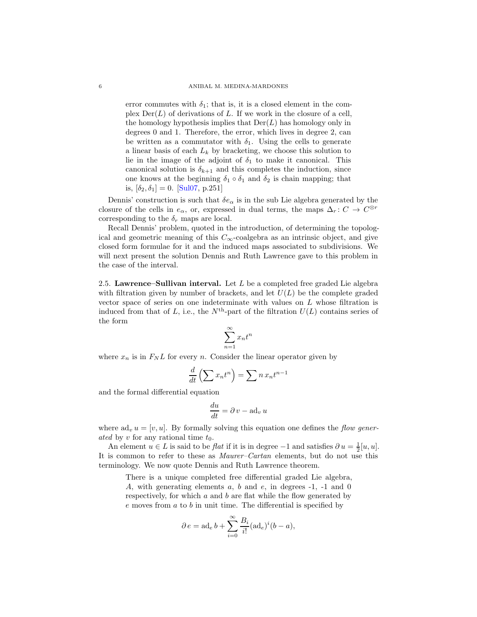<span id="page-5-0"></span>error commutes with  $\delta_1$ ; that is, it is a closed element in the complex  $Der(L)$  of derivations of L. If we work in the closure of a cell, the homology hypothesis implies that  $Der(L)$  has homology only in degrees 0 and 1. Therefore, the error, which lives in degree 2, can be written as a commutator with  $\delta_1$ . Using the cells to generate a linear basis of each  $L_k$  by bracketing, we choose this solution to lie in the image of the adjoint of  $\delta_1$  to make it canonical. This canonical solution is  $\delta_{k+1}$  and this completes the induction, since one knows at the beginning  $\delta_1 \circ \delta_1$  and  $\delta_2$  is chain mapping; that is,  $[\delta_2, \delta_1] = 0$ . [\[Sul07,](#page-16-1) p.251]

Dennis' construction is such that  $\delta e_{\alpha}$  is in the sub Lie algebra generated by the closure of the cells in  $e_{\alpha}$ , or, expressed in dual terms, the maps  $\Delta_r: C \to C^{\otimes r}$ corresponding to the  $\delta_r$  maps are local.

Recall Dennis' problem, quoted in the introduction, of determining the topological and geometric meaning of this  $C_{\infty}$ -coalgebra as an intrinsic object, and give closed form formulae for it and the induced maps associated to subdivisions. We will next present the solution Dennis and Ruth Lawrence gave to this problem in the case of the interval.

2.5. Lawrence–Sullivan interval. Let  $L$  be a completed free graded Lie algebra with filtration given by number of brackets, and let  $U(L)$  be the complete graded vector space of series on one indeterminate with values on L whose filtration is induced from that of L, i.e., the  $N^{\text{th}}$ -part of the filtration  $U(L)$  contains series of the form

$$
\sum_{n=1}^{\infty} x_n t^n
$$

where  $x_n$  is in  $F_N L$  for every n. Consider the linear operator given by

$$
\frac{d}{dt}\left(\sum x_n t^n\right) = \sum n x_n t^{n-1}
$$

and the formal differential equation

$$
\frac{du}{dt} = \partial v - ad_v u
$$

where  $ad_v u = [v, u]$ . By formally solving this equation one defines the *flow generated* by v for any rational time  $t_0$ .

An element  $u \in L$  is said to be *flat* if it is in degree  $-1$  and satisfies  $\partial u = \frac{1}{2}[u, u]$ . It is common to refer to these as *Maurer–Cartan* elements, but do not use this terminology. We now quote Dennis and Ruth Lawrence theorem.

There is a unique completed free differential graded Lie algebra, A, with generating elements a, b and e, in degrees -1, -1 and 0 respectively, for which a and b are flat while the flow generated by  $e$  moves from  $a$  to  $b$  in unit time. The differential is specified by

$$
\partial e = \operatorname{ad}_e b + \sum_{i=0}^{\infty} \frac{B_i}{i!} (\operatorname{ad}_e)^i (b - a),
$$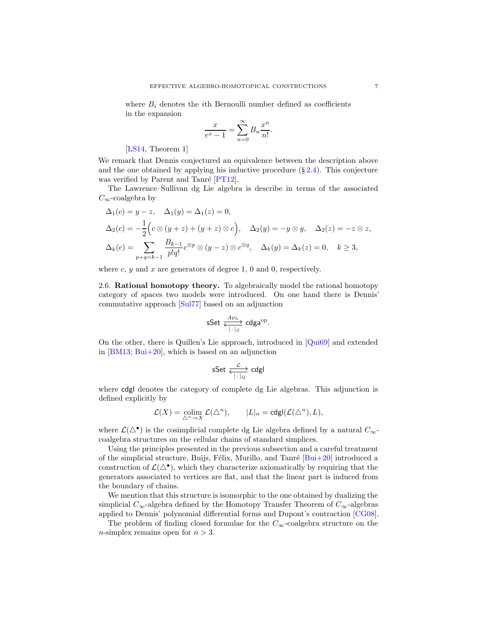<span id="page-6-0"></span>where  $B_i$  denotes the *i*th Bernoulli number defined as coefficients in the expansion

$$
\frac{x}{e^x - 1} = \sum_{n=0}^{\infty} B_n \frac{x^n}{n!}.
$$

[\[LS14,](#page-15-1) Theorem 1]

We remark that Dennis conjectured an equivalence between the description above and the one obtained by applying his inductive procedure  $(\S 2.4)$  $(\S 2.4)$ . This conjecture was verified by Parent and Tanré  $[PT12]$ .

The Lawrence–Sullivan dg Lie algebra is describe in terms of the associated  $C_{\infty}$ -coalgebra by

$$
\Delta_1(c) = y - z, \quad \Delta_1(y) = \Delta_1(z) = 0,
$$
  
\n
$$
\Delta_2(c) = -\frac{1}{2} \Big( c \otimes (y + z) + (y + z) \otimes c \Big), \quad \Delta_2(y) = -y \otimes y, \quad \Delta_2(z) = -z \otimes z,
$$
  
\n
$$
\Delta_k(c) = \sum_{p+q=k-1} \frac{B_{k-1}}{p!q!} c^{\otimes p} \otimes (y - z) \otimes c^{\otimes q}, \quad \Delta_k(y) = \Delta_k(z) = 0, \quad k \ge 3,
$$

where  $c, y$  and  $x$  are generators of degree 1, 0 and 0, respectively.

2.6. Rational homotopy theory. To algebraically model the rational homotopy category of spaces two models were introduced. On one hand there is Dennis' commutative approach [\[Sul77\]](#page-16-6) based on an adjunction

$$
\text{sSet} \xleftrightarrow{\text{A}_{\text{PL}}} \text{cdga}^{\text{op}}.
$$

On the other, there is Quillen's Lie approach, introduced in [\[Qui69\]](#page-16-0) and extended in  $[BM13; Bui+20]$  $[BM13; Bui+20]$ , which is based on an adjunction

$$
\text{sSet} \xleftarrow[\cdot]_Q} \text{cdgl}
$$

where cdgl denotes the category of complete dg Lie algebras. This adjunction is defined explicitly by

$$
\mathcal{L}(X) = \operatorname*{colim}_{\Delta^n \to X} \mathcal{L}(\Delta^n), \qquad |L|_n = \operatorname{cdgl}(\mathcal{L}(\Delta^n), L),
$$

where  $\mathcal{L}(\Delta^{\bullet})$  is the cosimplicial complete dg Lie algebra defined by a natural  $C_{\infty}$ coalgebra structures on the cellular chains of standard simplices.

Using the principles presented in the previous subsection and a careful treatment of the simplicial structure, Buijs, Félix, Murillo, and Tanré  $[Bui+20]$  introduced a construction of  $\mathcal{L}(\Delta^{\bullet})$ , which they characterize axiomatically by requiring that the generators associated to vertices are flat, and that the linear part is induced from the boundary of chains.

We mention that this structure is isomorphic to the one obtained by dualizing the simplicial  $C_{\infty}$ -algebra defined by the Homotopy Transfer Theorem of  $C_{\infty}$ -algebras applied to Dennis' polynomial differential forms and Dupont's contraction [\[CG08](#page-14-1)].

The problem of finding closed formulae for the  $C_{\infty}$ -coalgebra structure on the *n*-simplex remains open for  $n > 3$ .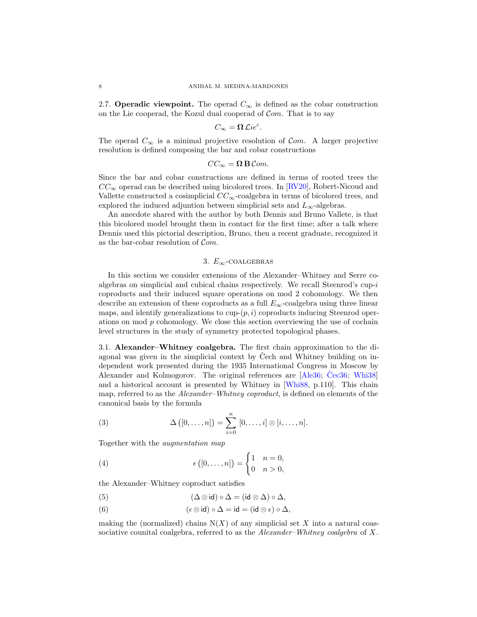<span id="page-7-3"></span>2.7. Operadic viewpoint. The operad  $C_{\infty}$  is defined as the cobar construction on the Lie cooperad, the Kozul dual cooperad of  $Com.$  That is to say

$$
C_{\infty} = \Omega \mathcal{L}ie^{c}.
$$

The operad  $C_{\infty}$  is a minimal projective resolution of  $Com.$  A larger projective resolution is defined composing the bar and cobar constructions

$$
CC_{\infty} = \mathbf{\Omega} \mathbf{B} \mathcal{C}om.
$$

Since the bar and cobar constructions are defined in terms of rooted trees the  $CC_{\infty}$  operad can be described using bicolored trees. In [\[RV20\]](#page-16-2), Robert-Nicoud and Vallette constructed a cosimplicial  $CC_{\infty}$ -coalgebra in terms of bicolored trees, and explored the induced adjuntion between simplicial sets and  $L_{\infty}$ -algebras.

An anecdote shared with the author by both Dennis and Bruno Vallete, is that this bicolored model brought them in contact for the first time; after a talk where Dennis used this pictorial description, Bruno, then a recent graduate, recognized it as the bar-cobar resolution of  $Com.$ 

### 3.  $E_{\infty}$ -COALGEBRAS

<span id="page-7-0"></span>In this section we consider extensions of the Alexander–Whitney and Serre coalgebras on simplicial and cubical chains respectively. We recall Steenrod's  $cup_i$ coproducts and their induced square operations on mod 2 cohomology. We then describe an extension of these coproducts as a full  $E_{\infty}$ -coalgebra using three linear maps, and identify generalizations to cup- $(p, i)$  coproducts inducing Steenrod operations on mod  $p$  cohomology. We close this section overviewing the use of cochain level structures in the study of symmetry protected topological phases.

3.1. Alexander–Whitney coalgebra. The first chain approximation to the diagonal was given in the simplicial context by Cech and Whitney building on independent work presented during the 1935 International Congress in Moscow by Alexander and Kolmogorov. The original references are  $[A]$ le36; [Cec36](#page-14-8); Whi38 and a historical account is presented by Whitney in [\[Whi88](#page-16-8), p.110]. This chain map, referred to as the *Alexander–Whitney coproduct*, is defined on elements of the canonical basis by the formula

<span id="page-7-2"></span>(3) 
$$
\Delta([0,\ldots,n]) = \sum_{i=0}^{n} [0,\ldots,i] \otimes [i,\ldots,n].
$$

Together with the *augmentation map*

<span id="page-7-1"></span>(4) 
$$
\epsilon ([0,\ldots,n]) = \begin{cases} 1 & n = 0, \\ 0 & n > 0, \end{cases}
$$

the Alexander–Whitney coproduct satisfies

(5) 
$$
(\Delta \otimes \mathrm{id}) \circ \Delta = (\mathrm{id} \otimes \Delta) \circ \Delta,
$$

(6) 
$$
(\epsilon \otimes id) \circ \Delta = id = (id \otimes \epsilon) \circ \Delta,
$$

making the (normalized) chains  $N(X)$  of any simplicial set X into a natural coassociative counital coalgebra, referred to as the *Alexander–Whitney coalgebra* of X.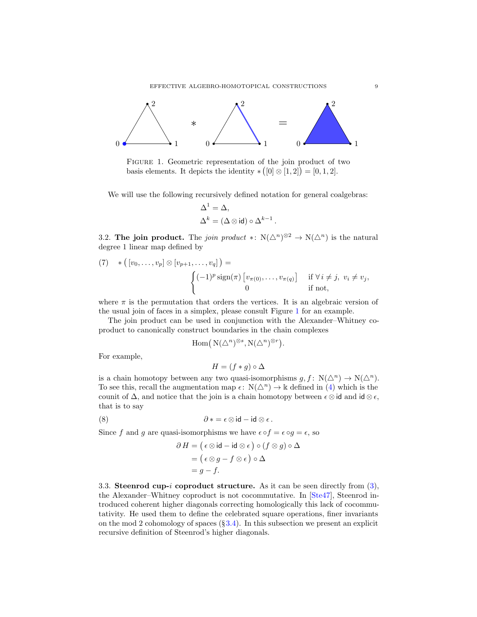<span id="page-8-2"></span>

<span id="page-8-0"></span>Figure 1. Geometric representation of the join product of two basis elements. It depicts the identity  $\ast ([0] \otimes [1,2]) = [0,1,2].$ 

We will use the following recursively defined notation for general coalgebras:

$$
\Delta^1 = \Delta,
$$
  

$$
\Delta^k = (\Delta \otimes id) \circ \Delta^{k-1}.
$$

3.2. **The join product.** The *join product* \*:  $N(\Delta^n)^{\otimes 2} \to N(\Delta^n)$  is the natural degree 1 linear map defined by

(7) 
$$
*( [v_0, \ldots, v_p] \otimes [v_{p+1}, \ldots, v_q] ) = \begin{cases} (-1)^p \operatorname{sign}(\pi) [v_{\pi(0)}, \ldots, v_{\pi(q)}] & \text{if } \forall i \neq j, v_i \neq v_j, \\ 0 & \text{if not,} \end{cases}
$$

where  $\pi$  is the permutation that orders the vertices. It is an algebraic version of the usual join of faces in a simplex, please consult Figure [1](#page-8-0) for an example.

The join product can be used in conjunction with the Alexander–Whitney coproduct to canonically construct boundaries in the chain complexes

$$
\mathrm{Hom}(\, \mathrm{N}(\bigtriangleup^n)^{\otimes s}, \mathrm{N}(\bigtriangleup^n)^{\otimes r}).
$$

For example,

$$
H = (f * g) \circ \Delta
$$

is a chain homotopy between any two quasi-isomorphisms  $g, f: N(\Delta^n) \to N(\Delta^n)$ . To see this, recall the augmentation map  $\epsilon: N(\Delta^n) \to \Bbbk$  defined in [\(4\)](#page-7-1) which is the counit of  $\Delta$ , and notice that the join is a chain homotopy between  $\epsilon \otimes id$  and  $id \otimes \epsilon$ , that is to say

(8) 
$$
\partial * = \epsilon \otimes \mathrm{id} - \mathrm{id} \otimes \epsilon.
$$

Since f and g are quasi-isomorphisms we have  $\epsilon \circ f = \epsilon \circ g = \epsilon$ , so

$$
\partial H = (\epsilon \otimes id - id \otimes \epsilon) \circ (f \otimes g) \circ \Delta
$$
  
= (\epsilon \otimes g - f \otimes \epsilon) \circ \Delta  
= g - f.

<span id="page-8-1"></span>3.3. Steenrod cup-i coproduct structure. As it can be seen directly from  $(3)$ , the Alexander–Whitney coproduct is not cocommutative. In [\[Ste47\]](#page-16-4), Steenrod introduced coherent higher diagonals correcting homologically this lack of cocommutativity. He used them to define the celebrated square operations, finer invariants on the mod 2 cohomology of spaces  $(\S 3.4)$  $(\S 3.4)$ . In this subsection we present an explicit recursive definition of Steenrod's higher diagonals.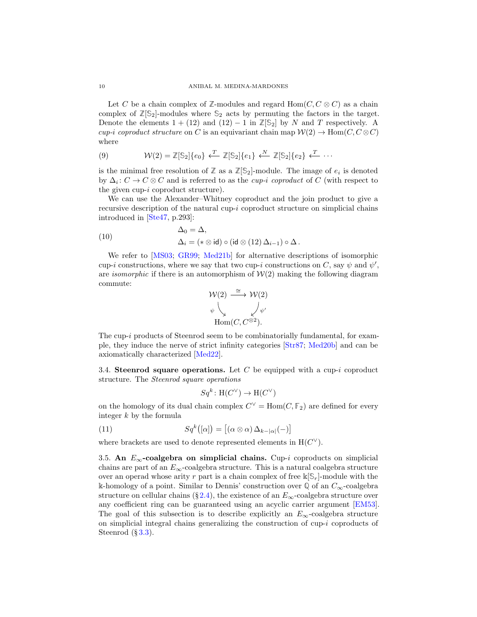<span id="page-9-3"></span>Let C be a chain complex of  $\mathbb{Z}$ -modules and regard  $\text{Hom}(C, C \otimes C)$  as a chain complex of  $\mathbb{Z}[\mathbb{S}_2]$ -modules where  $\mathbb{S}_2$  acts by permuting the factors in the target. Denote the elements  $1 + (12)$  and  $(12) - 1$  in  $\mathbb{Z}[S_2]$  by N and T respectively. A *cup-i coproduct structure* on C is an equivariant chain map  $W(2) \rightarrow Hom(C, C \otimes C)$ where

(9) 
$$
\mathcal{W}(2) = \mathbb{Z}[\mathbb{S}_2]{e_0} \xleftarrow{T} \mathbb{Z}[\mathbb{S}_2]{e_1} \xleftarrow{N} \mathbb{Z}[\mathbb{S}_2]{e_2} \xleftarrow{T} \cdots
$$

is the minimal free resolution of  $\mathbb{Z}$  as a  $\mathbb{Z}[\mathbb{S}_2]$ -module. The image of  $e_i$  is denoted by ∆<sup>i</sup> : C → C ⊗ C and is referred to as the *cup-*i *coproduct* of C (with respect to the given cup-i coproduct structure).

We can use the Alexander–Whitney coproduct and the join product to give a recursive description of the natural cup- $i$  coproduct structure on simplicial chains introduced in [\[Ste47,](#page-16-4) p.293]:

<span id="page-9-2"></span>(10) 
$$
\Delta_0 = \Delta,
$$

$$
\Delta_i = (* \otimes id) \circ (id \otimes (12) \Delta_{i-1}) \circ \Delta.
$$

We refer to [\[MS03](#page-15-5); [GR99;](#page-15-10) [Med21b](#page-15-11)] for alternative descriptions of isomorphic cup-i constructions, where we say that two cup-i constructions on C, say  $\psi$  and  $\psi'$ , are *isomorphic* if there is an automorphism of  $W(2)$  making the following diagram commute:

$$
\mathcal{W}(2) \xrightarrow{\cong} \mathcal{W}(2)
$$
  
\n
$$
\psi \downarrow \qquad \qquad \downarrow \psi'
$$
  
\n
$$
\text{Hom}(C, C^{\otimes 2}).
$$

The cup-i products of Steenrod seem to be combinatorially fundamental, for example, they induce the nerve of strict infinity categories [\[Str87;](#page-16-9) [Med20b\]](#page-15-12) and can be axiomatically characterized [\[Med22\]](#page-15-13).

<span id="page-9-0"></span>3.4. Steenrod square operations. Let C be equipped with a cup-i coproduct structure. The *Steenrod square operations*

$$
Sq^k \colon \mathrm{H}(C^\vee) \to \mathrm{H}(C^\vee)
$$

on the homology of its dual chain complex  $C^{\vee} = \text{Hom}(C, \mathbb{F}_2)$  are defined for every integer  $k$  by the formula

(11) 
$$
Sq^{k}([\alpha]) = [(\alpha \otimes \alpha) \Delta_{k-|\alpha|}(-)]
$$

where brackets are used to denote represented elements in  $H(C^{\vee})$ .

<span id="page-9-1"></span>3.5. An  $E_{\infty}$ -coalgebra on simplicial chains. Cup-i coproducts on simplicial chains are part of an  $E_{\infty}$ -coalgebra structure. This is a natural coalgebra structure over an operad whose arity r part is a chain complex of free  $\Bbbk[\mathbb{S}_r]$ -module with the k-homology of a point. Similar to Dennis' construction over  $\mathbb{Q}$  of an  $C_{\infty}$ -coalgebra structure on cellular chains (§ [2.4\)](#page-4-1), the existence of an  $E_{\infty}$ -coalgebra structure over any coefficient ring can be guaranteed using an acyclic carrier argument [\[EM53\]](#page-14-9). The goal of this subsection is to describe explicitly an  $E_{\infty}$ -coalgebra structure on simplicial integral chains generalizing the construction of  $cup-i$  coproducts of Steenrod  $(\S 3.3)$  $(\S 3.3)$ .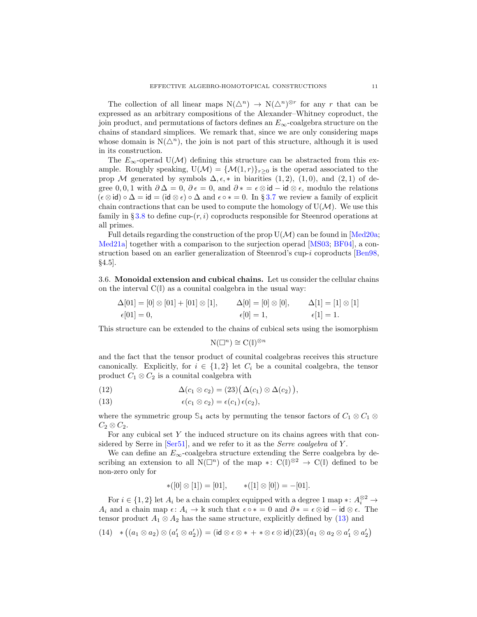<span id="page-10-3"></span>The collection of all linear maps  $N(\Delta^n) \to N(\Delta^n)^{\otimes r}$  for any r that can be expressed as an arbitrary compositions of the Alexander–Whitney coproduct, the join product, and permutations of factors defines an  $E_{\infty}$ -coalgebra structure on the chains of standard simplices. We remark that, since we are only considering maps whose domain is  $N(\Delta^n)$ , the join is not part of this structure, although it is used in its construction.

The  $E_{\infty}$ -operad U(M) defining this structure can be abstracted from this example. Roughly speaking,  $U(\mathcal{M}) = {\mathcal{M}(1,r)}_{r>0}$  is the operad associated to the prop M generated by symbols  $\Delta, \epsilon, *$  in biarities  $(1, 2), (1, 0),$  and  $(2, 1)$  of degree 0, 0, 1 with  $\partial \Delta = 0$ ,  $\partial \epsilon = 0$ , and  $\partial * = \epsilon \otimes id - id \otimes \epsilon$ , modulo the relations  $(\epsilon \otimes id) \circ \Delta = id = (id \otimes \epsilon) \circ \Delta$  and  $\epsilon \circ * = 0$ . In §[3.7](#page-11-0) we review a family of explicit chain contractions that can be used to compute the homology of  $U(\mathcal{M})$ . We use this family in §[3.8](#page-11-1) to define cup- $(r, i)$  coproducts responsible for Steenrod operations at all primes.

Full details regarding the construction of the prop  $U(\mathcal{M})$  can be found in [\[Med20a](#page-15-6); [Med21a\]](#page-15-14) together with a comparison to the surjection operad [\[MS03;](#page-15-5) [BF04](#page-14-5)], a construction based on an earlier generalization of Steenrod's cup-i coproducts [\[Ben98](#page-14-10), §4.5].

3.6. Monoidal extension and cubical chains. Let us consider the cellular chains on the interval C(**I**) as a counital coalgebra in the usual way:

$$
\Delta[01] = [0] \otimes [01] + [01] \otimes [1], \qquad \Delta[0] = [0] \otimes [0], \qquad \Delta[1] = [1] \otimes [1] \n\epsilon[01] = 0, \qquad \epsilon[0] = 1, \qquad \epsilon[1] = 1.
$$

This structure can be extended to the chains of cubical sets using the isomorphism

$$
\mathrm{N}(\square^n) \cong \mathrm{C}(\mathbb{I})^{\otimes n}
$$

and the fact that the tensor product of counital coalgebras receives this structure canonically. Explicitly, for  $i \in \{1,2\}$  let  $C_i$  be a counital coalgebra, the tensor product  $C_1 \otimes C_2$  is a counital coalgebra with

<span id="page-10-1"></span>(12) 
$$
\Delta(c_1 \otimes c_2) = (23) (\Delta(c_1) \otimes \Delta(c_2)),
$$

<span id="page-10-0"></span>(13) 
$$
\epsilon(c_1 \otimes c_2) = \epsilon(c_1) \epsilon(c_2),
$$

where the symmetric group  $\mathbb{S}_4$  acts by permuting the tensor factors of  $C_1 \otimes C_1 \otimes C_2$  $C_2 \otimes C_2$ .

For any cubical set  $Y$  the induced structure on its chains agrees with that considered by Serre in [\[Ser51](#page-16-10)], and we refer to it as the *Serre coalgebra* of Y .

We can define an  $E_{\infty}$ -coalgebra structure extending the Serre coalgebra by describing an extension to all  $N(\Box^n)$  of the map  $\ast: C(\mathbb{I})^{\otimes 2} \to C(\mathbb{I})$  defined to be non-zero only for

$$
*([0] \otimes [1]) = [01], \qquad *([1] \otimes [0]) = -[01].
$$

For  $i \in \{1, 2\}$  let  $A_i$  be a chain complex equipped with a degree 1 map  $\ast: A_i^{\otimes 2} \to$ A<sub>i</sub> and a chain map  $\epsilon: A_i \to \mathbb{k}$  such that  $\epsilon \circ * = 0$  and  $\partial * = \epsilon \otimes id - id \otimes \epsilon$ . The tensor product  $A_1 \otimes A_2$  has the same structure, explicitly defined by [\(13\)](#page-10-0) and

<span id="page-10-2"></span>
$$
(14) * ((a_1 \otimes a_2) \otimes (a'_1 \otimes a'_2)) = (\mathsf{id} \otimes \epsilon \otimes * + * \otimes \epsilon \otimes \mathsf{id})(23)(a_1 \otimes a_2 \otimes a'_1 \otimes a'_2)
$$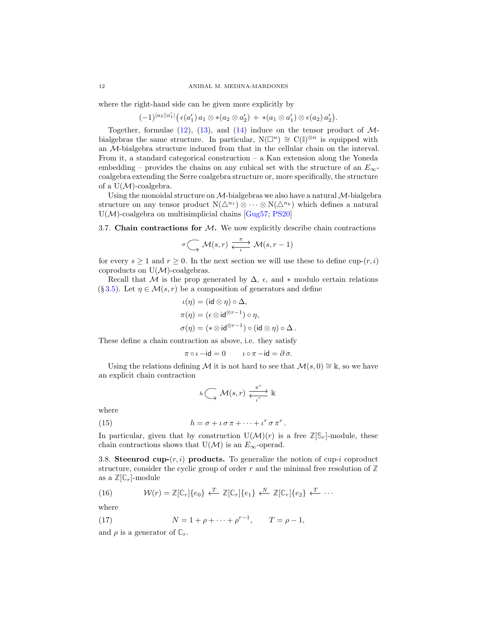<span id="page-11-4"></span>where the right-hand side can be given more explicitly by

 $(-1)^{|a_2||a'_1|} (\epsilon(a'_1) a_1 \otimes *(a_2 \otimes a'_2) + *(a_1 \otimes a'_1) \otimes \epsilon(a_2) a'_2).$ 

Together, formulae  $(12)$ ,  $(13)$ , and  $(14)$  induce on the tensor product of Mbialgebras the same structure. In particular,  $N(\Box^n) \cong C(\mathbb{I})^{\otimes n}$  is equipped with an M-bialgebra structure induced from that in the cellular chain on the interval. From it, a standard categorical construction – a Kan extension along the Yoneda embedding – provides the chains on any cubical set with the structure of an  $E_{\infty}$ coalgebra extending the Serre coalgebra structure or, more specifically, the structure of a  $U(\mathcal{M})$ -coalgebra.

Using the monoidal structure on  $\mathcal{M}$ -bialgebras we also have a natural  $\mathcal{M}$ -bialgebra structure on any tensor product  $N(\Delta^{n_1}) \otimes \cdots \otimes N(\Delta^{n_k})$  which defines a natural  $U(\mathcal{M})$ -coalgebra on multisimplicial chains [\[Gug57](#page-15-15); [PS20](#page-16-11)]

<span id="page-11-0"></span>3.7. Chain contractions for  $M$ . We now explicitly describe chain contractions

$$
\sigma \left( \longrightarrow \mathcal{M}(s,r) \xleftarrow{\pi \atop \iota} \mathcal{M}(s,r-1) \right)
$$

for every  $s \ge 1$  and  $r \ge 0$ . In the next section we will use these to define cup- $(r, i)$ coproducts on  $U(\mathcal{M})$ -coalgebras.

Recall that M is the prop generated by  $\Delta$ ,  $\epsilon$ , and  $*$  modulo certain relations (§ [3.5\)](#page-9-1). Let  $\eta \in \mathcal{M}(s,r)$  be a composition of generators and define

$$
\begin{aligned}\n\iota(\eta) &= (\mathsf{id} \otimes \eta) \circ \Delta, \\
\pi(\eta) &= (\epsilon \otimes \mathsf{id}^{\otimes r-1}) \circ \eta, \\
\sigma(\eta) &= (* \otimes \mathsf{id}^{\otimes r-1}) \circ (\mathsf{id} \otimes \eta) \circ \Delta.\n\end{aligned}
$$

These define a chain contraction as above, i.e. they satisfy

$$
\pi \circ \iota - \mathrm{id} = 0 \qquad \iota \circ \pi - \mathrm{id} = \partial \sigma.
$$

Using the relations defining M it is not hard to see that  $\mathcal{M}(s, 0) \cong \mathbb{K}$ , so we have an explicit chain contraction

<span id="page-11-3"></span>
$$
h\bigodot_{\longrightarrow}\mathcal{M}(s,r)\xrightarrow[\iota^r]{\pi^r}\Bbbk
$$

where

(15) 
$$
h = \sigma + \iota \sigma \pi + \cdots + \iota^r \sigma \pi^r.
$$

In particular, given that by construction  $U(\mathcal{M})(r)$  is a free  $\mathbb{Z}[\mathbb{S}_r]$ -module, these chain contractions shows that  $U(\mathcal{M})$  is an  $E_{\infty}$ -operad.

<span id="page-11-1"></span>3.8. Steenrod cup- $(r, i)$  products. To generalize the notion of cup-i coproduct structure, consider the cyclic group of order r and the minimal free resolution of  $\mathbb{Z}$ as a  $\mathbb{Z}[\mathbb{C}_r]$ -module

(16) 
$$
\mathcal{W}(r) = \mathbb{Z}[\mathbb{C}_r]\{e_0\} \leftarrow \mathbb{Z}[\mathbb{C}_r]\{e_1\} \leftarrow \mathbb{Z}[\mathbb{C}_r]\{e_2\} \leftarrow \cdots
$$

where

<span id="page-11-2"></span>(17) 
$$
N = 1 + \rho + \dots + \rho^{r-1}, \qquad T = \rho - 1,
$$

and  $\rho$  is a generator of  $\mathbb{C}_r$ .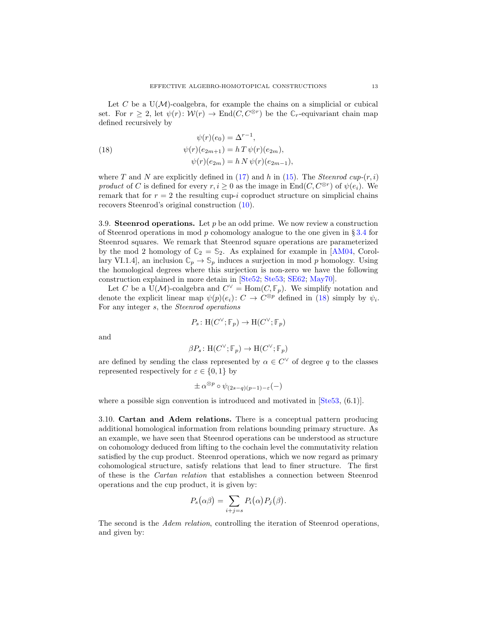<span id="page-12-1"></span>Let C be a  $U(\mathcal{M})$ -coalgebra, for example the chains on a simplicial or cubical set. For  $r \geq 2$ , let  $\psi(r) : \mathcal{W}(r) \to \text{End}(C, C^{\otimes r})$  be the  $\mathbb{C}_r$ -equivariant chain map defined recursively by

<span id="page-12-0"></span>(18) 
$$
\psi(r)(e_0) = \Delta^{r-1}, \n\psi(r)(e_{2m+1}) = h T \psi(r)(e_{2m}), \n\psi(r)(e_{2m}) = h N \psi(r)(e_{2m-1})
$$

where T and N are explicitly defined in  $(17)$  and h in  $(15)$ . The *Steenrod cup-* $(r, i)$ *product* of C is defined for every  $r, i \geq 0$  as the image in  $\text{End}(C, C^{\otimes r})$  of  $\psi(e_i)$ . We remark that for  $r = 2$  the resulting cup-i coproduct structure on simplicial chains recovers Steenrod's original construction [\(10\)](#page-9-2).

3.9. Steenrod operations. Let  $p$  be an odd prime. We now review a construction of Steenrod operations in mod p cohomology analogue to the one given in  $\S 3.4$  $\S 3.4$  for Steenrod squares. We remark that Steenrod square operations are parameterized by the mod 2 homology of  $\mathbb{C}_2 = \mathbb{S}_2$ . As explained for example in [\[AM04](#page-14-11), Corollary VI.1.4], an inclusion  $\mathbb{C}_p \to \mathbb{S}_p$  induces a surjection in mod p homology. Using the homological degrees where this surjection is non-zero we have the following construction explained in more detain in [\[Ste52;](#page-16-12) [Ste53](#page-16-13); [SE62;](#page-16-3) [May70](#page-15-3)].

Let C be a U(M)-coalgebra and  $C^{\vee} = \text{Hom}(C, \mathbb{F}_p)$ . We simplify notation and denote the explicit linear map  $\psi(p)(e_i): C \to C^{\otimes p}$  defined in [\(18\)](#page-12-0) simply by  $\psi_i$ . For any integer s, the *Steenrod operations*

$$
P_s \colon \mathrm{H}(C^{\vee};\mathbb{F}_p) \to \mathrm{H}(C^{\vee};\mathbb{F}_p)
$$

and

$$
\beta P_s \colon \mathrm{H}(C^{\vee};\mathbb{F}_p) \to \mathrm{H}(C^{\vee};\mathbb{F}_p)
$$

are defined by sending the class represented by  $\alpha \in C^{\vee}$  of degree q to the classes represented respectively for  $\varepsilon \in \{0,1\}$  by

$$
\pm \alpha^{\otimes p} \circ \psi_{(2s-q)(p-1)-\varepsilon}(-)
$$

where a possible sign convention is introduced and motivated in  $[Ste53, (6.1)]$ .

3.10. Cartan and Adem relations. There is a conceptual pattern producing additional homological information from relations bounding primary structure. As an example, we have seen that Steenrod operations can be understood as structure on cohomology deduced from lifting to the cochain level the commutativity relation satisfied by the cup product. Steenrod operations, which we now regard as primary cohomological structure, satisfy relations that lead to finer structure. The first of these is the *Cartan relation* that establishes a connection between Steenrod operations and the cup product, it is given by:

$$
P_s(\alpha\beta) = \sum_{i+j=s} P_i(\alpha) P_j(\beta).
$$

The second is the *Adem relation*, controlling the iteration of Steenrod operations, and given by: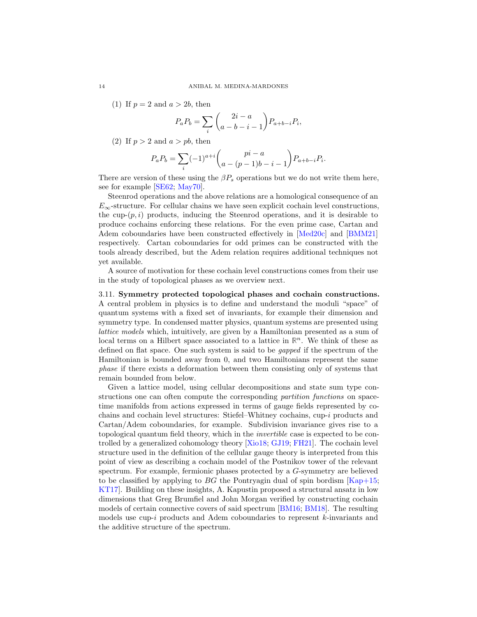(1) If  $p = 2$  and  $a > 2b$ , then

$$
P_a P_b = \sum_{i} \binom{2i - a}{a - b - i - 1} P_{a + b - i} P_i,
$$

(2) If  $p > 2$  and  $a > pb$ , then

$$
P_a P_b = \sum_i (-1)^{a+i} \binom{pi-a}{a-(p-1)b-i-1} P_{a+b-i} P_i.
$$

There are version of these using the  $\beta P_s$  operations but we do not write them here, see for example [\[SE62](#page-16-3); [May70\]](#page-15-3).

Steenrod operations and the above relations are a homological consequence of an  $E_{\infty}$ -structure. For cellular chains we have seen explicit cochain level constructions, the cup- $(p, i)$  products, inducing the Steenrod operations, and it is desirable to produce cochains enforcing these relations. For the even prime case, Cartan and Adem coboundaries have been constructed effectively in [\[Med20c](#page-15-16)] and [\[BMM21\]](#page-14-12) respectively. Cartan coboundaries for odd primes can be constructed with the tools already described, but the Adem relation requires additional techniques not yet available.

A source of motivation for these cochain level constructions comes from their use in the study of topological phases as we overview next.

## 3.11. Symmetry protected topological phases and cochain constructions.

A central problem in physics is to define and understand the moduli "space" of quantum systems with a fixed set of invariants, for example their dimension and symmetry type. In condensed matter physics, quantum systems are presented using *lattice models* which, intuitively, are given by a Hamiltonian presented as a sum of local terms on a Hilbert space associated to a lattice in  $\mathbb{R}^n$ . We think of these as defined on flat space. One such system is said to be *gapped* if the spectrum of the Hamiltonian is bounded away from 0, and two Hamiltonians represent the same *phase* if there exists a deformation between them consisting only of systems that remain bounded from below.

Given a lattice model, using cellular decompositions and state sum type constructions one can often compute the corresponding *partition functions* on spacetime manifolds from actions expressed in terms of gauge fields represented by cochains and cochain level structures: Stiefel–Whitney cochains, cup-i products and Cartan/Adem coboundaries, for example. Subdivision invariance gives rise to a topological quantum field theory, which in the *invertible* case is expected to be controlled by a generalized cohomology theory [\[Xio18;](#page-16-14) [GJ19](#page-14-13); [FH21\]](#page-14-14). The cochain level structure used in the definition of the cellular gauge theory is interpreted from this point of view as describing a cochain model of the Postnikov tower of the relevant spectrum. For example, fermionic phases protected by a G-symmetry are believed to be classified by applying to BG the Pontryagin dual of spin bordism  $|Kap+15;$ [KT17\]](#page-15-18). Building on these insights, A. Kapustin proposed a structural ansatz in low dimensions that Greg Brumfiel and John Morgan verified by constructing cochain models of certain connective covers of said spectrum [\[BM16;](#page-14-15) [BM18\]](#page-14-16). The resulting models use  $cup-i$  products and Adem coboundaries to represent k-invariants and the additive structure of the spectrum.

<span id="page-13-0"></span>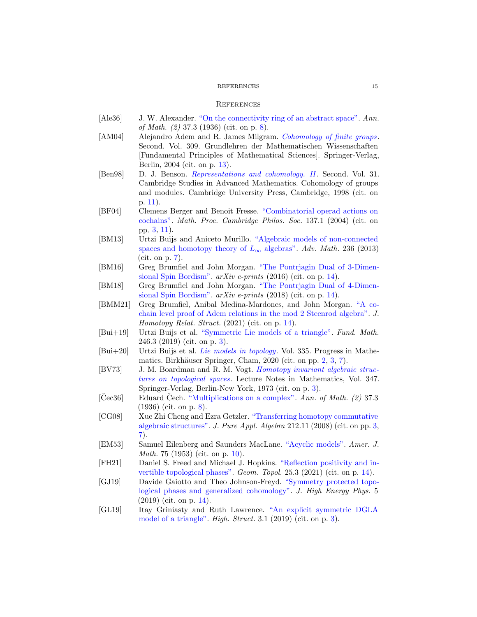### REFERENCES 15

#### **REFERENCES**

- <span id="page-14-11"></span><span id="page-14-7"></span>[Ale36] J. W. Alexander. ["On the connectivity ring of an abstract space".](https://doi.org/10.2307/1968484) *Ann. of Math. (2)* 37.3 (1936) (cit. on p. [8\)](#page-7-3).
- [AM04] Alejandro Adem and R. James Milgram. *[Cohomology of finite groups](https://doi.org/10.1007/978-3-662-06280-7)*. Second. Vol. 309. Grundlehren der Mathematischen Wissenschaften [Fundamental Principles of Mathematical Sciences]. Springer-Verlag, Berlin, 2004 (cit. on p. [13\)](#page-12-1).
- <span id="page-14-10"></span>[Ben98] D. J. Benson. *[Representations and cohomology. II](https://www.cambridge.org/pk/academic/subjects/mathematics/algebra/representations-and-cohomology-volume-2)*. Second. Vol. 31. Cambridge Studies in Advanced Mathematics. Cohomology of groups and modules. Cambridge University Press, Cambridge, 1998 (cit. on p. [11\)](#page-10-3).
- <span id="page-14-5"></span>[BF04] Clemens Berger and Benoit Fresse. "Combinatorial operad actions on cochains". *Math. Proc. Cambridge Philos. Soc.* 137.1 (2004) (cit. on pp. [3,](#page-2-0) [11\)](#page-10-3).
- <span id="page-14-6"></span>[BM13] Urtzi Buijs and Aniceto Murillo. "Algebraic models of non-connected spaces and homotopy theory of  $L_{\infty}$  algebras". *Adv. Math.* 236 (2013) (cit. on p. [7\)](#page-6-0).
- <span id="page-14-15"></span>[BM16] Greg Brumfiel and John Morgan. "The Pontrjagin Dual of 3-Dimensional Spin Bordism". *arXiv e-prints* (2016) (cit. on p. [14\)](#page-13-0).
- <span id="page-14-16"></span>[BM18] Greg Brumfiel and John Morgan. "The Pontrjagin Dual of 4-Dimensional Spin Bordism". *arXiv e-prints* (2018) (cit. on p. [14\)](#page-13-0).
- <span id="page-14-12"></span>[BMM21] Greg Brumfiel, Anibal Medina-Mardones, and John Morgan. "A cochain level proof of Adem relations in the mod 2 Steenrod algebra". *J. Homotopy Relat. Struct.* (2021) (cit. on p. [14\)](#page-13-0).
- <span id="page-14-3"></span>[Bui+19] Urtzi Buijs et al. ["Symmetric Lie models of a triangle".](https://doi.org/10.4064/fm518-7-2018) *Fund. Math.* 246.3 (2019) (cit. on p. [3\)](#page-2-0).
- <span id="page-14-0"></span>[Bui+20] Urtzi Buijs et al. *[Lie models in topology](https://doi.org/10.1007/978-3-030-54430-0)*. Vol. 335. Progress in Mathe-matics. Birkhäuser Springer, Cham, 2020 (cit. on pp. [2,](#page-1-0) [3,](#page-2-0) [7\)](#page-6-0).
- <span id="page-14-4"></span>[BV73] J. M. Boardman and R. M. Vogt. *Homotopy invariant algebraic structures on topological spaces*. Lecture Notes in Mathematics, Vol. 347. Springer-Verlag, Berlin-New York, 1973 (cit. on p. [3\)](#page-2-0).
- <span id="page-14-8"></span>[Čec36] Eduard Čech. ["Multiplications on a complex".](https://doi.org/10.2307/1968483) Ann. of Math. (2) 37.3 (1936) (cit. on p. [8\)](#page-7-3).
- <span id="page-14-1"></span>[CG08] Xue Zhi Cheng and Ezra Getzler. "Transferring homotopy commutative algebraic structures". *J. Pure Appl. Algebra* 212.11 (2008) (cit. on pp. [3,](#page-2-0) [7\)](#page-6-0).
- <span id="page-14-9"></span>[EM53] Samuel Eilenberg and Saunders MacLane. ["Acyclic models".](https://doi.org/10.2307/2372628) *Amer. J. Math.* 75 (1953) (cit. on p. [10\)](#page-9-3).
- <span id="page-14-14"></span>[FH21] Daniel S. Freed and Michael J. Hopkins. "Reflection positivity and invertible topological phases". *Geom. Topol.* 25.3 (2021) (cit. on p. [14\)](#page-13-0).
- <span id="page-14-13"></span>[GJ19] Davide Gaiotto and Theo Johnson-Freyd. "Symmetry protected topological phases and generalized cohomology". *J. High Energy Phys.* 5 (2019) (cit. on p. [14\)](#page-13-0).
- <span id="page-14-2"></span>[GL19] Itay Griniasty and Ruth Lawrence. "An explicit symmetric DGLA model of a triangle". *High. Struct.* 3.1 (2019) (cit. on p. [3\)](#page-2-0).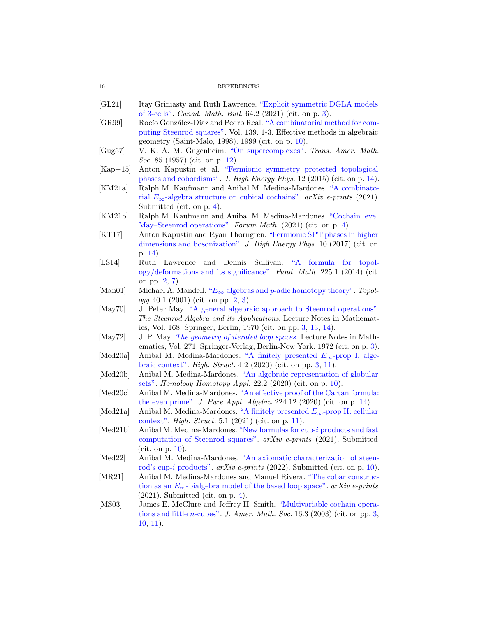#### <span id="page-15-2"></span>16 REFERENCES

- [GL21] Itay Griniasty and Ruth Lawrence. "Explicit symmetric DGLA models of 3-cells". *Canad. Math. Bull.* 64.2 (2021) (cit. on p. [3\)](#page-2-0).
- <span id="page-15-10"></span>[GR99] Rocío González-Díaz and Pedro Real. "A combinatorial method for computing Steenrod squares". Vol. 139. 1-3. Effective methods in algebraic geometry (Saint-Malo, 1998). 1999 (cit. on p. [10\)](#page-9-3).
- <span id="page-15-15"></span>[Gug57] V. K. A. M. Gugenheim. ["On supercomplexes".](https://doi.org/10.2307/1992960) *Trans. Amer. Math. Soc.* 85 (1957) (cit. on p. [12\)](#page-11-4).
- <span id="page-15-17"></span>[Kap+15] Anton Kapustin et al. "Fermionic symmetry protected topological phases and cobordisms". *J. High Energy Phys.* 12 (2015) (cit. on p. [14\)](#page-13-0).
- <span id="page-15-7"></span>[KM21a] Ralph M. Kaufmann and Anibal M. Medina-M[ardones.](http://arxiv.org/abs/2107.00669) "A combinatorial E∞-algebra structure on cubical cochains". *arXiv e-prints* (2021). Submitted (cit. on p. [4\)](#page-3-1).
- <span id="page-15-9"></span>[KM21b] Ralph M. Kaufmann and Anibal M. Medina-Mardones. "Cochain level May–Steenrod operations". *Forum Math.* (2021) (cit. on p. [4\)](#page-3-1).
- <span id="page-15-18"></span>[KT17] Anton Kapustin and Ryan Thorngren. "Fermionic SPT phases in higher dimensions and bosonization". *J. High Energy Phys.* 10 (2017) (cit. on p. [14\)](#page-13-0).
- <span id="page-15-1"></span>[LS14] Ruth Lawrence and Dennis Sullivan. "A formula for topology/deformations and its significance". *Fund. Math.* 225.1 (2014) (cit. on pp. [2,](#page-1-0) [7\)](#page-6-0).
- <span id="page-15-0"></span>[Man01] Michael A. Mandell. "E<sup>∞</sup> algebras and p[-adic homotopy theory".](https://doi.org/10.1016/S0040-9383(99)00053-1) *Topology* 40.1 (2001) (cit. on pp. [2,](#page-1-0) [3\)](#page-2-0).
- <span id="page-15-3"></span>[May70] J. Peter May. ["A general algebraic approach to Steenrod operations".](https://link.springer.com/chapter/10.1007/BFb0058524) *The Steenrod Algebra and its Applications*. Lecture Notes in Mathematics, Vol. 168. Springer, Berlin, 1970 (cit. on pp. [3,](#page-2-0) [13,](#page-12-1) [14\)](#page-13-0).
- <span id="page-15-4"></span>[May72] J. P. May. *[The geometry of iterated loop spaces](https://doi.org/10.1007/BFb0067491)*. Lecture Notes in Mathematics, Vol. 271. Springer-Verlag, Berlin-New York, 1972 (cit. on p. [3\)](#page-2-0).
- <span id="page-15-6"></span>[Med20a] Anibal M. Medina-Mardones. "A finitely presented  $E_{\infty}$ -prop I: algebraic context". *High. Struct.* 4.2 (2020) (cit. on pp. [3,](#page-2-0) [11\)](#page-10-3).
- <span id="page-15-12"></span>[Med20b] Anibal M. Medina-Mardones. "An algebraic representation of globular sets". *Homology Homotopy Appl.* 22.2 (2020) (cit. on p. [10\)](#page-9-3).
- <span id="page-15-16"></span>[Med20c] Anibal M. Medina-Mardones. "An effective proof of the Cartan formula: the even prime". *J. Pure Appl. Algebra* 224.12 (2020) (cit. on p. [14\)](#page-13-0).
- <span id="page-15-14"></span>[Med21a] Anibal M. Medina-Mardones. "A finitely presented E∞-prop II: cellular context". *High. Struct.* 5.1 (2021) (cit. on p. [11\)](#page-10-3).
- <span id="page-15-11"></span>[Med21b] Anibal M. Medina-Mardones. "New formulas for cup-i products and fast computation of Steenrod squares". *arXiv e-prints* (2021). Submitted (cit. on p. [10\)](#page-9-3).
- <span id="page-15-13"></span>[Med22] Anibal M. Medina-Mardones. "An axiomatic characterization of steenrod's cup-i products". *arXiv e-prints* (2022). Submitted (cit. on p. [10\)](#page-9-3).
- <span id="page-15-8"></span>[MR21] Anibal M. Medina-Mardones and Manuel Rivera. "The cobar construction as an E∞-bialgebra model of the based loop space". *arXiv e-prints* (2021). Submitted (cit. on p. [4\)](#page-3-1).
- <span id="page-15-5"></span>[MS03] James E. McClure and Jeffrey H. Smith. "Multivariable cochain operations and little n-cubes". *J. Amer. Math. Soc.* 16.3 (2003) (cit. on pp. [3,](#page-2-0) [10,](#page-9-3) [11\)](#page-10-3).